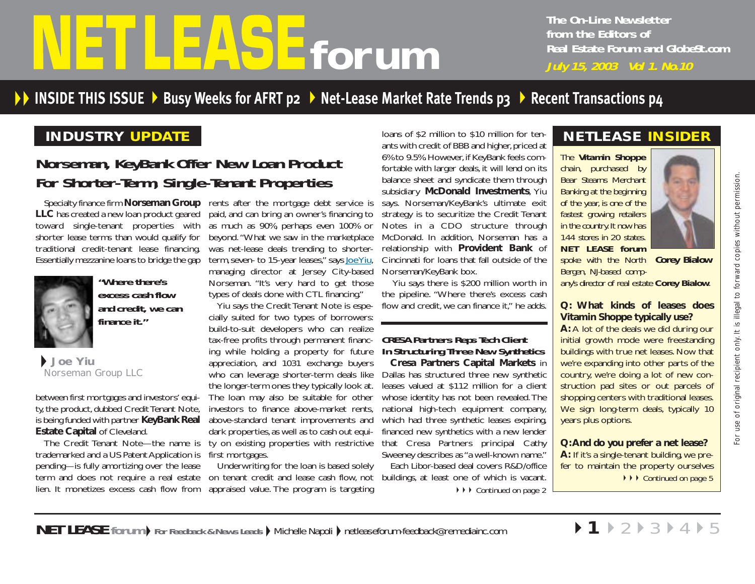# <span id="page-0-0"></span>**from the Editors of**<br>**for um**<br>*July 15, 2003 Vol 1. No.10*

**The On-Line Newsletter from the Editors of Real Estate Forum and GlobeSt.com**

# <code>INSIDE</code> <code>THIS</code> <code>ISSUE > [Busy Weeks for AFRT](#page-1-0) p2 > [Net-Lease Market Rate Trends p3](#page-2-0) > [Recent Transactions p4](#page-3-0)</code>

## **INDUSTRY UPDATE**

# **Norseman, KeyBank Offer New Loan Product For Shorter-Term, Single-Tenant Properties**

**LLC** has created a new loan product geared toward single-tenant properties with shorter lease terms than would qualify for traditional credit-tenant lease financing. Essentially mezzanine loans to bridge the gap



**"Where there's excess cash flow and credit, we can finance it."**

**Joe Yiu** Norseman Group LLC

between first mortgages and investors' equity, the product, dubbed Credit Tenant Note, is being funded with partner **KeyBank Real Estate Capital** of Cleveland.

The Credit Tenant Note—the name is trademarked and a US Patent Application is first mortgages. pending—is fully amortizing over the lease term and does not require a real estate lien. It monetizes excess cash flow from

Specialty finance firm **Norseman Group** rents after the mortgage debt service is paid, and can bring an owner's financing to as much as 90%, perhaps even 100% or beyond. "What we saw in the marketplace was net-lease deals trending to shorterterm,seven- to 15-year leases," say[s Joe Yiu,](mailto:jyiu@norsemangroup.com) managing director at Jersey City-based Norseman. "It's very hard to get those types of deals done with CTL financing."

Yiu says the Credit Tenant Note is especially suited for two types of borrowers: build-to-suit developers who can realize tax-free profits through permanent financing while holding a property for future appreciation, and 1031 exchange buyers who can leverage shorter-term deals like the longer-term ones they typically look at. The loan may also be suitable for other investors to finance above-market rents, above-standard tenant improvements and dark properties, as well as to cash out equity on existing properties with restrictive

Underwriting for the loan is based solely on tenant credit and lease cash flow, not buildings, at least one of which is vacant. appraised value. The program is targeting

loans of \$2 million to \$10 million for tenants with credit of BBB and higher, priced at 6% to 9.5%. However, if KeyBank feels comfortable with larger deals, it will lend on its balance sheet and syndicate them through subsidiary **McDonald Investments**, Yiu says. Norseman/KeyBank's ultimate exit strategy is to securitize the Credit Tenant Notes in a CDO structure through McDonald. In addition, Norseman has a relationship with **Provident Bank** of Cincinnati for loans that fall outside of the Norseman/KeyBank box.

Yiu says there is \$200 million worth in the pipeline. "Where there's excess cash flow and credit, we can finance it." he adds.

### **CRESA Partners Reps Tech Client In Structuring Three New Synthetics**

**Cresa Partners Capital Markets** in Dallas has structured three new synthetic leases valued at \$112 million for a client whose identity has not been revealed. The national high-tech equipment company, which had three synthetic leases expiring, financed new synthetics with a new lender that Cresa Partners principal Cathy Sweeney describes as "a well-known name." Each Libor-based deal covers R&D/office **▶ ▶ ▶ [Continued on page 2](#page-1-0)** 

# **NETLEASE INSIDER**

*The Vitamin Shoppe chain, purchased by Bear Stearns Merchant Banking at the beginning of the year, is one of the fastest growing retailers in the country. It now has 144 stores in 20 states. NET LEASE forum*

*spoke with the North* **Corey Bialow** *Bergen, NJ-based comp-*

*any's director of real estate Corey Bialow.*

### **Q: What kinds of leases does Vitamin Shoppe typically use?**

**A:** A lot of the deals we did during our initial growth mode were freestanding buildings with true net leases. Now that we're expanding into other parts of the country, we're doing a lot of new construction pad sites or out parcels of shopping centers with traditional leases. We sign long-term deals, typically 10 years plus options.

**Q:And do you prefer a net lease? A:** If it's a single-tenant building, we prefer to maintain the property ourselves ◆ ▶ [Continued on page 5](#page-4-0)

▶1▶[2](#page-1-0)▶[3](#page-2-0)▶[4](#page-3-0)▶[5](#page-4-0)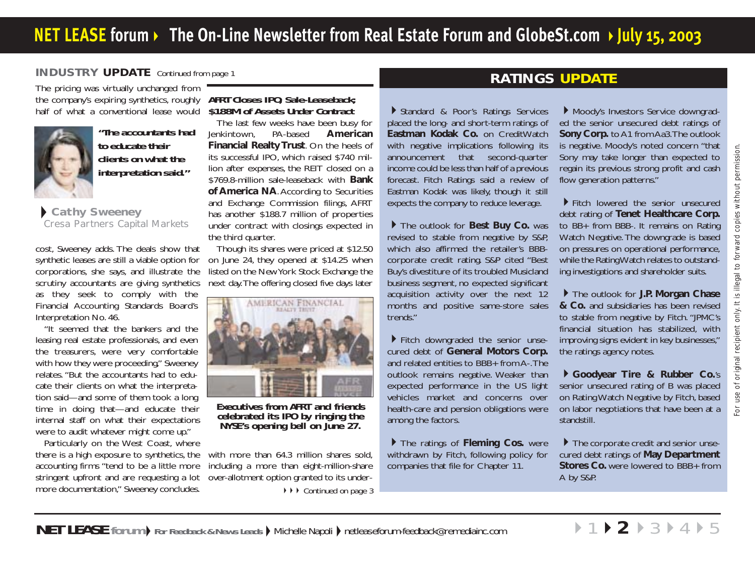### <span id="page-1-0"></span>**INDUSTRY UPDATE** [Continued from page 1](#page-0-0)

The pricing was virtually unchanged from the company's expiring synthetics, roughly half of what a conventional lease would



**"The accountants had to educate their clients on what the interpretation said."**

### **Cathy Sweeney** Cresa Partners Capital Markets

cost, Sweeney adds. The deals show that synthetic leases are still a viable option for corporations, she says, and illustrate the scrutiny accountants are giving synthetics as they seek to comply with the Financial Accounting Standards Board's Interpretation No. 46.

"It seemed that the bankers and the leasing real estate professionals, and even the treasurers, were very comfortable with how they were proceeding," Sweeney relates. "But the accountants had to educate their clients on what the interpretation said—and some of them took a long time in doing that—and educate their internal staff on what their expectations were to audit whatever might come up."

Particularly on the West Coast, where there is a high exposure to synthetics, the accounting firms "tend to be a little more stringent upfront and are requesting a lot more documentation," Sweeney concludes.

### **AFRT Closes IPO, Sale-Leaseback; \$188M of Assets Under Contract**

The last few weeks have been busy for Jenkintown, PA-based **American Financial Realty Trust**. On the heels of its successful IPO, which raised \$740 million after expenses, the REIT closed on a \$769.8-million sale-leaseback with **Bank of America NA**.According to Securities and Exchange Commission filings, AFRT has another \$188.7 million of properties under contract with closings expected in the third quarter.

Though its shares were priced at \$12.50 on June 24, they opened at \$14.25 when listed on the New York Stock Exchange the next day.The offering closed five days later



**Executives from AFRT and friends RYSE's opening bell on June 27.** 

with more than 64.3 million shares sold. including a more than eight-million-share over-allotment option granted to its under-

◆ ▶ ▶ [Continued on page 3](#page-2-0)

# **RATINGS UPDATE**

Standard & Poor's Ratings Services placed the long- and short-term ratings of **Eastman Kodak Co.** on CreditWatch with negative implications following its announcement that second-quarter income could be less than half of a previous forecast. Fitch Ratings said a review of Eastman Kodak was likely, though it still expects the company to reduce leverage.

The outlook for **Best Buy Co.** was revised to stable from negative by S&P, which also affirmed the retailer's BBBcorporate credit rating. S&P cited "Best Buy's divestiture of its troubled Musicland business segment, no expected significant acquisition activity over the next 12 months and positive same-store sales trends."

Fitch downgraded the senior unsecured debt of **General Motors Corp.** and related entities to BBB+ from A-.The outlook remains negative. Weaker than expected performance in the US light vehicles market and concerns over health-care and pension obligations were among the factors.

The ratings of **Fleming Cos.** were withdrawn by Fitch, following policy for companies that file for Chapter 11.

Moody's Investors Service downgraded the senior unsecured debt ratings of **Sony Corp.** to A1 from Aa3.The outlook is negative. Moody's noted concern "that Sony may take longer than expected to regain its previous strong profit and cash flow generation patterns."

Fitch lowered the senior unsecured debt rating of **Tenet Healthcare Corp.** to BB+ from BBB-. It remains on Rating Watch Negative. The downgrade is based on pressures on operational performance, while the Rating Watch relates to outstanding investigations and shareholder suits.

The outlook for **J.P. Morgan Chase & Co.** and subsidiaries has been revised to stable from negative by Fitch. "JPMC's financial situation has stabilized, with improving signs evident in key businesses," the ratings agency notes.

**Goodyear Tire & Rubber Co.**'s senior unsecured rating of B was placed on Rating Watch Negative by Fitch, based on labor negotiations that have been at a standstill.

The corporate credit and senior unsecured debt ratings of **May Department Stores Co.** were lowered to BBB+ from A by S&P.

▶ [1](#page-0-0) ▶ **2** ▶ [3](#page-2-0) ▶ [4](#page-3-0) ▶ [5](#page-4-0)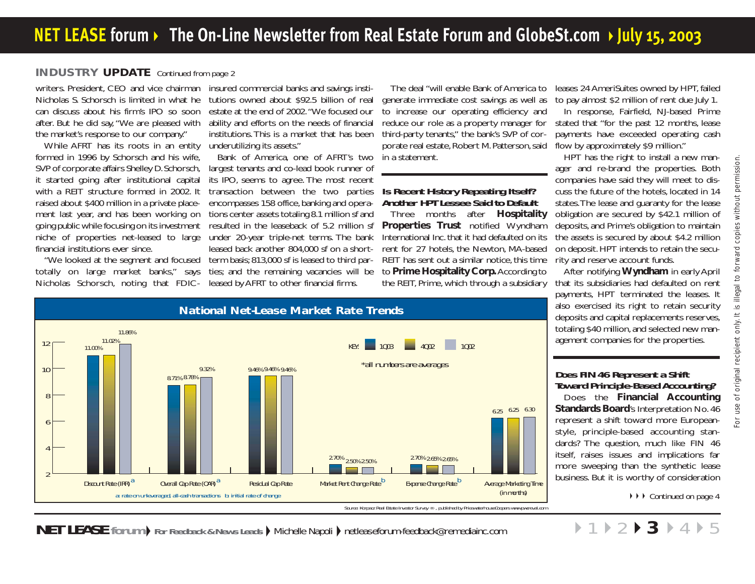### <span id="page-2-0"></span>**INDUSTRY UPDATE** [Continued from page 2](#page-1-0)

writers. President, CEO and vice chairman Nicholas S. Schorsch is limited in what he can discuss about his firm's IPO so soon after. But he did say, "We are pleased with the market's response to our company."

While AFRT has its roots in an entity formed in 1996 by Schorsch and his wife, SVP of corporate affairs Shelley D. Schorsch, it started going after institutional capital with a REIT structure formed in 2002. It raised about \$400 million in a private placement last year, and has been working on going public while focusing on its investment niche of properties net-leased to large financial institutions ever since.

"We looked at the segment and focused totally on large market banks," says Nicholas Schorsch, noting that FDIC-

insured commercial banks and savings insti tutions owned about \$92.5 billion of real estate at the end of 2002."We focused our ability and efforts on the needs of financial institutions. This is a market that has been underutilizing its assets."

Bank of America, one of AFRT's two largest tenants and co-lead book runner of its IPO, seems to agree. The most recent transaction between the two parties encompasses 158 office, banking and opera tions center assets totaling 8.1 million sf and resulted in the leaseback of 5.2 million sf under 20-year triple-net terms. The bank leased back another 804,000 sf on a shortterm basis; 813,000 sf is leased to third parties; and the remaining vacancies will be leased by AFRT to other financial firms.

The deal "will enable Bank of America to generate immediate cost savings as well as to increase our operating efficiency and reduce our role as a property manager for third-party tenants," the bank's SVP of corporate real estate, Robert M. Patterson, said in a statement.

### **Is Recent History Repeating Itself? Another HPT Lessee Said to Default**

Three months after **Hospitality Properties Trust** notified Wyndham International Inc. that it had defaulted on its rent for 27 hotels, the Newton, MA-based REIT has sent out a similar notice, this time to **Prime Hospitality Corp.**According to the REIT, Prime, which through a subsidiary

leases 24 AmeriSuites owned by HPT, failed to pay almost \$2 million of rent due July 1.

In response, Fairfield, NJ-based Prime stated that "for the past 12 months, lease payments have exceeded operating cash flow by approximately \$9 million."

HPT has the right to install a new manager and re-brand the properties. Both companies have said they will meet to discuss the future of the hotels, located in 14 states.The lease and guaranty for the lease obligation are secured by \$42.1 million of deposits, and Prime's obligation to maintain the assets is secured by about \$4.2 million on deposit. HPT intends to retain the security and reserve account funds.

After notifying **Wyndham** in early April that its subsidiaries had defaulted on rent payments, HPT terminated the leases. It also exercised its right to retain security deposits and capital replacements reserves, totaling \$40 million, and selected new management companies for the properties.



### **Does FIN 46 Represent a Shift Toward Principle-Based Accounting?**

Does the **Financial Accounting Standards Board**'s Interpretation No. 46 represent a shift toward more Europeanstyle, principle-based accounting standards? The question, much like FIN 46 itself, raises issues and implications far more sweeping than the synthetic lease business. But it is worthy of consideration

▶[1](#page-0-0)▶[2](#page-1-0)▶**3**▶[4](#page-3-0)▶[5](#page-4-0)

▶ ▶ [Continued on page 4](#page-3-0)

**NET LEASE** forum  $\blacktriangleright$  For Feedback & News Leads  $\blacktriangleright$  Michelle Napoli  $\blacktriangleright$  netleaseforum-feedback@remediainc.com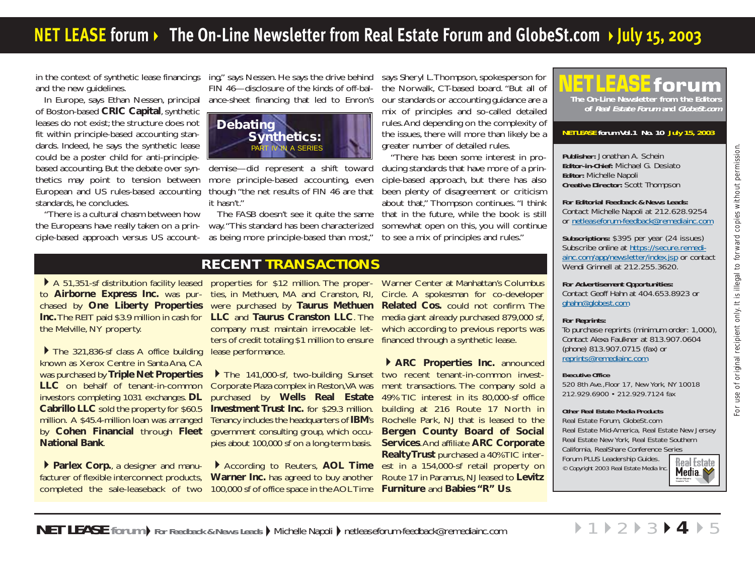# <span id="page-3-0"></span>**NET [LEASE forum](#page-0-0)** ▶ The On-Line Newsletter from Real Estate Forum and GlobeSt.com ▶ July 15, 2003

in the context of synthetic lease financings and the new guidelines.

In Europe, says Ethan Nessen, principal of Boston-based **CRIC Capital**, synthetic leases do not exist; the structure does not fit within principle-based accounting standards. Indeed, he says the synthetic lease could be a poster child for anti-principlebased accounting. But the debate over synthetics may point to tension between European and US rules-based accounting standards, he concludes.

"There is a cultural chasm between how the Europeans have really taken on a principle-based approach versus US accounting," says Nessen. He says the drive behind FIN 46—disclosure of the kinds of off-bal ance-sheet financing that led to Enron's



demise—did represent a shift toward more principle-based accounting, even though "the net results of FIN 46 are that it hasn't."

The FASB doesn't see it quite the same way."This standard has been characterized

ing," says Nessen. He says the drive behind says Sheryl L. Thompson, spokesperson for<br>
FIN 46—disclosure of the kinds of off-bal-<br>
the Norwalk, CT-based board. "But all of<br>
ance-sheet financing that led to Enron's our stan

### **RECENT TRANSACTIONS**

A 51,351-sf distribution facility leased to **Airborne Express Inc.** was purchased by **One Liberty Properties Inc.**The REIT paid \$3.9 million in cash for the Melville, NY property.

The 321,836-sf class A office building known as Xerox Centre in Santa Ana, CA was purchased by **Triple Net Properties LLC** on behalf of tenant-in-common investors completing 1031 exchanges. **DL Cabrillo LLC** sold the property for \$60.5 million. A \$45.4-million loan was arranged by **Cohen Financial** through **Fleet National Bank**.

**Parlex Corp., a designer and manu**facturer of flexible interconnect products,

properties for \$12 million. The proper-Warner Center at Manhattan's Columbus ties, in Methuen, MA and Cranston, RI, Circle. A spokesman for co-developer were purchased by **Taurus Methuen Related Cos.** could not confirm. The ters of credit totaling \$1 million to ensure financed through a synthetic lease. lease performance.

Corporate Plaza complex in Reston,VA was **Investment Trust Inc.** for \$29.3 million. government consulting group, which occupies about 100,000 sf on a long-term basis.

completed the sale-leaseback of two 100,000 sf of office space in the AOL Time **Furniture** and **Babies "R" Us**. According to Reuters, **AOL Time Warner Inc.** has agreed to buy another

**LLC** and **Taurus Cranston LLC**. The media giant already purchased 879,000 sf, company must maintain irrevocable let-which according to previous reports was

The 141,000-sf, two-building Sunset two recent tenant-in-common investpurchased by **Wells Real Estate** 49% TIC interest in its 80,000-sf office Tenancy includes the headquarters of **IBM**'s Rochelle Park, NJ that is leased to the **ARC Properties Inc.** announced ment transactions. The company sold a building at 216 Route 17 North in **Bergen County Board of Social Services**.And affiliate **ARC Corporate Realty Trust** purchased a 40% TIC interest in a 154,000-sf retail property on Route 17 in Paramus, NJ leased to **Levitz**



### **NET LEASE forum Vol.1 No. 10 July 15, 2003**

**Publisher:** Jonathan A. Schein **Editor-in-Chief:** Michael G. Desiato **Editor:** Michelle Napoli **Creative Director:** Scott Thompson

**For Editorial Feedback & News Leads:**  Contact Michelle Napoli at 212.628.9254 or [netleaseforum-feedback@remediainc.com](mailto:netleaseforum-feedback@remediainc.com)

**Subscriptions:** \$395 per year (24 issues) [Subscribe online at https://secure.remedi](https://secure.remediainc.com/app/newsletter/index.jsp)ainc.com/app/newsletter/index.jsp or contact Wendi Grinnell at 212.255.3620.

**For Advertisement Opportunities:** Contact Geoff Hahn at 404.653.8923 or g[hahn@globest.com](mailto:ghahn@globest.com)

### **For Reprints:**

To purchase reprints (minimum order: 1,000), Contact Alexa Faulkner at 813.907.0604 (phone) 813.907.0715 (fax) or [reprints@remediainc.com](mailto:reprints@remediainc.com)

### **Executive Office**

520 8th Ave.,Floor 17, New York, NY 10018 212.929.6900 • 212.929.7124 fax

### **Other Real Estate Media Products**

Real Estate Forum, GlobeSt.com Real Estate Mid-America, Real Estate New Jersey Real Estate New York, Real Estate Southern California, RealShare Conference Series Forum PLUS Leadership Guides. **Real Estate** © Copyright 2003 Real Estate Media Inc.